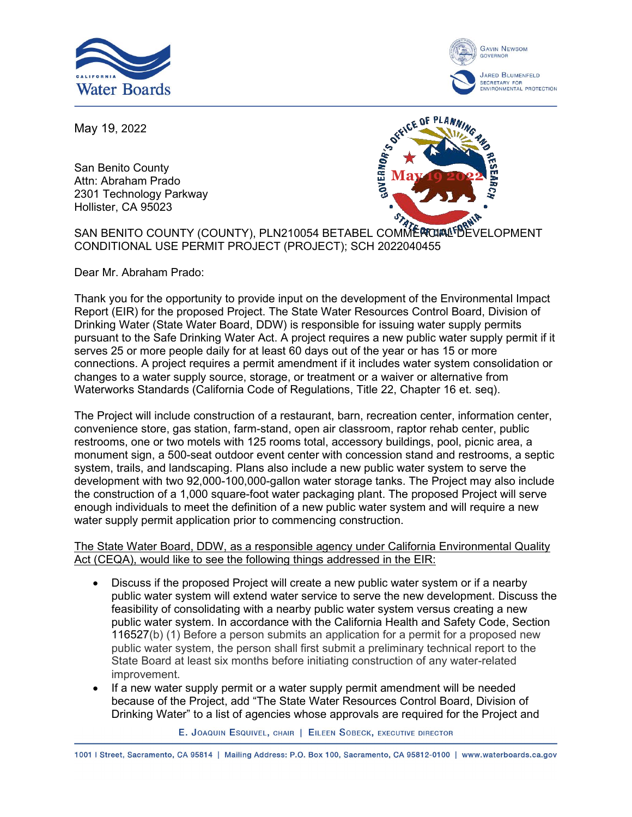



May 19, 2022

San Benito County Attn: Abraham Prado 2301 Technology Parkway Hollister, CA 95023



SAN BENITO COUNTY (COUNTY), PLN210054 BETABEL COMMERCIAL PROFILE OPMENT CONDITIONAL USE PERMIT PROJECT (PROJECT); SCH 2022040455

Dear Mr. Abraham Prado:

Thank you for the opportunity to provide input on the development of the Environmental Impact Report (EIR) for the proposed Project. The State Water Resources Control Board, Division of Drinking Water (State Water Board, DDW) is responsible for issuing water supply permits pursuant to the Safe Drinking Water Act. A project requires a new public water supply permit if it serves 25 or more people daily for at least 60 days out of the year or has 15 or more connections. A project requires a permit amendment if it includes water system consolidation or changes to a water supply source, storage, or treatment or a waiver or alternative from Waterworks Standards (California Code of Regulations, Title 22, Chapter 16 et. seq).

The Project will include construction of a restaurant, barn, recreation center, information center, convenience store, gas station, farm-stand, open air classroom, raptor rehab center, public restrooms, one or two motels with 125 rooms total, accessory buildings, pool, picnic area, a monument sign, a 500-seat outdoor event center with concession stand and restrooms, a septic system, trails, and landscaping. Plans also include a new public water system to serve the development with two 92,000-100,000-gallon water storage tanks. The Project may also include the construction of a 1,000 square-foot water packaging plant. The proposed Project will serve enough individuals to meet the definition of a new public water system and will require a new water supply permit application prior to commencing construction.

The State Water Board, DDW, as a responsible agency under California Environmental Quality Act (CEQA), would like to see the following things addressed in the EIR:

- Discuss if the proposed Project will create a new public water system or if a nearby public water system will extend water service to serve the new development. Discuss the feasibility of consolidating with a nearby public water system versus creating a new public water system. In accordance with the California Health and Safety Code, Section 116527(b) (1) Before a person submits an application for a permit for a proposed new public water system, the person shall first submit a preliminary technical report to the State Board at least six months before initiating construction of any water-related improvement.
- · If a new water supply permit or a water supply permit amendment will be needed because of the Project, add "The State Water Resources Control Board, Division of Drinking Water" to a list of agencies whose approvals are required for the Project and

E. JOAQUIN ESQUIVEL, CHAIR | EILEEN SOBECK, EXECUTIVE DIRECTOR

1001 | Street, Sacramento, CA 95814 | Mailing Address: P.O. Box 100, Sacramento, CA 95812-0100 | www.waterboards.ca.gov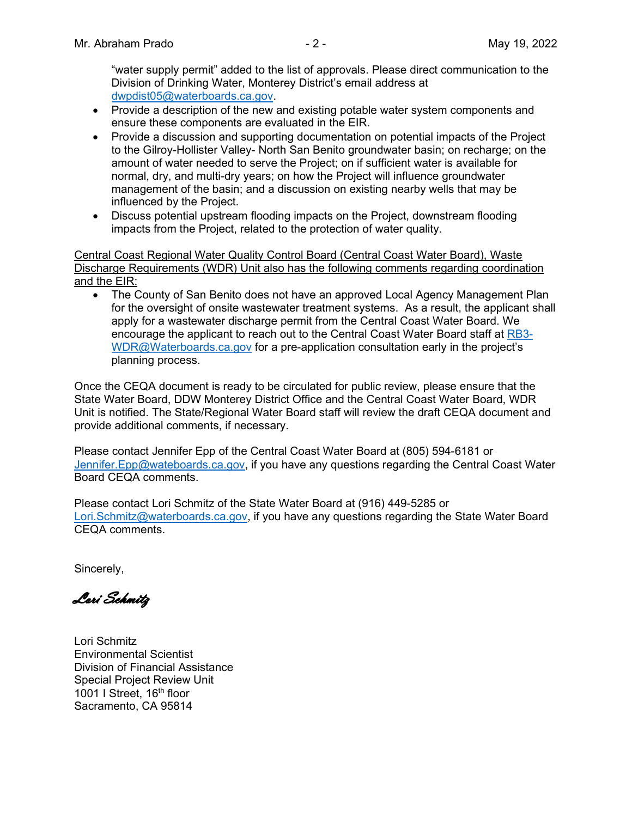"water supply permit" added to the list of approvals. Please direct communication to the Division of Drinking Water, Monterey District's email address at [dwpdist05@waterboards.ca.gov.](mailto:dwpdist05@waterboards.ca.gov)

- · Provide a description of the new and existing potable water system components and ensure these components are evaluated in the EIR.
- Provide a discussion and supporting documentation on potential impacts of the Project to the Gilroy-Hollister Valley- North San Benito groundwater basin; on recharge; on the amount of water needed to serve the Project; on if sufficient water is available for normal, dry, and multi-dry years; on how the Project will influence groundwater management of the basin; and a discussion on existing nearby wells that may be influenced by the Project.
- · Discuss potential upstream flooding impacts on the Project, downstream flooding impacts from the Project, related to the protection of water quality.

Central Coast Regional Water Quality Control Board (Central Coast Water Board), Waste Discharge Requirements (WDR) Unit also has the following comments regarding coordination and the EIR:

· The County of San Benito does not have an approved Local Agency Management Plan for the oversight of onsite wastewater treatment systems. As a result, the applicant shall apply for a wastewater discharge permit from the Central Coast Water Board. We encourage the applicant to reach out to the Central Coast Water Board staff at [RB3-](mailto:RB3-WDR@Waterboards.ca.gov) [WDR@Waterboards.ca.gov](mailto:RB3-WDR@Waterboards.ca.gov) for a pre-application consultation early in the project's planning process.

Once the CEQA document is ready to be circulated for public review, please ensure that the State Water Board, DDW Monterey District Office and the Central Coast Water Board, WDR Unit is notified. The State/Regional Water Board staff will review the draft CEQA document and provide additional comments, if necessary.

Please contact Jennifer Epp of the Central Coast Water Board at (805) 594-6181 or [Jennifer.Epp@wateboards.ca.gov](mailto:Jennifer.Epp@wateboards.ca.gov), if you have any questions regarding the Central Coast Water Board CEQA comments.

Please contact Lori Schmitz of the State Water Board at (916) 449-5285 or [Lori.Schmitz@waterboards.ca.gov,](mailto:Lori.Schmitz@waterboards.ca.gov) if you have any questions regarding the State Water Board CEQA comments.

Sincerely,

Lori Schmitz

Lori Schmitz Environmental Scientist Division of Financial Assistance Special Project Review Unit 1001 I Street, 16<sup>th</sup> floor Sacramento, CA 95814